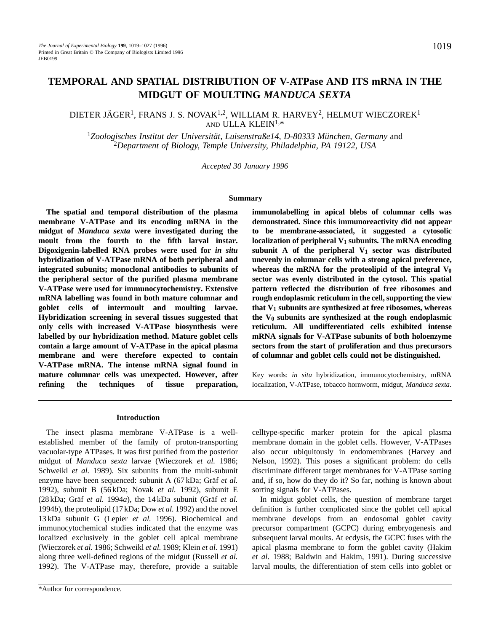# **TEMPORAL AND SPATIAL DISTRIBUTION OF V-ATPase AND ITS mRNA IN THE MIDGUT OF MOULTING** *MANDUCA SEXTA*

# DIETER JÄGER<sup>1</sup>, FRANS J. S. NOVAK<sup>1,2</sup>, WILLIAM R. HARVEY<sup>2</sup>, HELMUT WIECZOREK<sup>1</sup> AND ULLA KLEIN1,\*

<sup>1</sup>*Zoologisches Institut der Universität, Luisenstraße14, D-80333 München, Germany* and <sup>2</sup>*Department of Biology, Temple University, Philadelphia, PA 19122, USA*

*Accepted 30 January 1996*

#### **Summary**

**The spatial and temporal distribution of the plasma membrane V-ATPase and its encoding mRNA in the midgut of** *Manduca sexta* **were investigated during the moult from the fourth to the fifth larval instar. Digoxigenin-labelled RNA probes were used for** *in situ* **hybridization of V-ATPase mRNA of both peripheral and integrated subunits; monoclonal antibodies to subunits of the peripheral sector of the purified plasma membrane V-ATPase were used for immunocytochemistry. Extensive mRNA labelling was found in both mature columnar and goblet cells of intermoult and moulting larvae. Hybridization screening in several tissues suggested that only cells with increased V-ATPase biosynthesis were labelled by our hybridization method. Mature goblet cells contain a large amount of V-ATPase in the apical plasma membrane and were therefore expected to contain V-ATPase mRNA. The intense mRNA signal found in mature columnar cells was unexpected. However, after refining the techniques of tissue preparation,** **immunolabelling in apical blebs of columnar cells was demonstrated. Since this immunoreactivity did not appear to be membrane-associated, it suggested a cytosolic** localization of peripheral V<sub>1</sub> subunits. The mRNA encoding subunit A of the peripheral  $V_1$  sector was distributed **unevenly in columnar cells with a strong apical preference,** whereas the mRNA for the proteolipid of the integral  $V_0$ **sector was evenly distributed in the cytosol. This spatial pattern reflected the distribution of free ribosomes and rough endoplasmic reticulum in the cell, supporting the view that V1 subunits are synthesized at free ribosomes, whereas the V0 subunits are synthesized at the rough endoplasmic reticulum. All undifferentiated cells exhibited intense mRNA signals for V-ATPase subunits of both holoenzyme sectors from the start of proliferation and thus precursors of columnar and goblet cells could not be distinguished.**

Key words: *in situ* hybridization, immunocytochemistry, mRNA localization, V-ATPase, tobacco hornworm, midgut, *Manduca sexta*.

#### **Introduction**

The insect plasma membrane V-ATPase is a wellestablished member of the family of proton-transporting vacuolar-type ATPases. It was first purified from the posterior midgut of *Manduca sexta* larvae (Wieczorek *et al.* 1986; Schweikl et al. 1989). Six subunits from the multi-subunit enzyme have been sequenced: subunit A (67 kDa; Gräf *et al.* 1992), subunit B (56 kDa; Novak *et al.* 1992), subunit E (28 kDa; Gräf *et al.* 1994*a*), the 14 kDa subunit (Gräf *et al.* 1994*b*), the proteolipid (17 kDa; Dow *et al.* 1992) and the novel 13 kDa subunit G (Lepier *et al.* 1996). Biochemical and immunocytochemical studies indicated that the enzyme was localized exclusively in the goblet cell apical membrane (Wieczorek *et al.* 1986; Schweikl *et al.* 1989; Klein *et al.* 1991) along three well-defined regions of the midgut (Russell *et al.* 1992). The V-ATPase may, therefore, provide a suitable

celltype-specific marker protein for the apical plasma membrane domain in the goblet cells. However, V-ATPases also occur ubiquitously in endomembranes (Harvey and Nelson, 1992). This poses a significant problem: do cells discriminate different target membranes for V-ATPase sorting and, if so, how do they do it? So far, nothing is known about sorting signals for V-ATPases.

In midgut goblet cells, the question of membrane target definition is further complicated since the goblet cell apical membrane develops from an endosomal goblet cavity precursor compartment (GCPC) during embryogenesis and subsequent larval moults. At ecdysis, the GCPC fuses with the apical plasma membrane to form the goblet cavity (Hakim *et al.* 1988; Baldwin and Hakim, 1991). During successive larval moults, the differentiation of stem cells into goblet or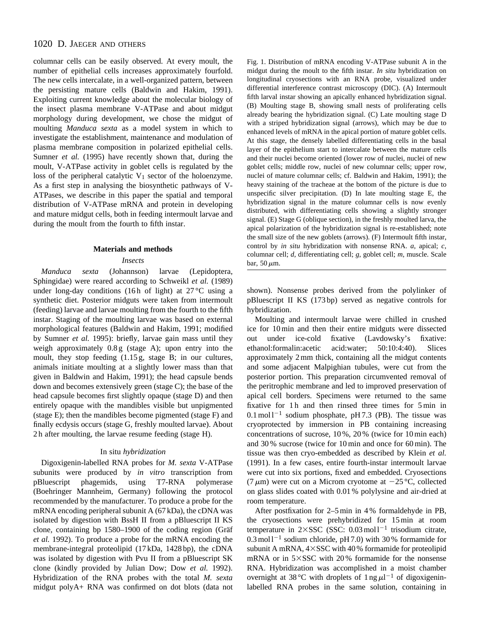# 1020 D. JAEGER AND OTHERS

columnar cells can be easily observed. At every moult, the number of epithelial cells increases approximately fourfold. The new cells intercalate, in a well-organized pattern, between the persisting mature cells (Baldwin and Hakim, 1991). Exploiting current knowledge about the molecular biology of the insect plasma membrane V-ATPase and about midgut morphology during development, we chose the midgut of moulting *Manduca sexta* as a model system in which to investigate the establishment, maintenance and modulation of plasma membrane composition in polarized epithelial cells. Sumner *et al.* (1995) have recently shown that, during the moult, V-ATPase activity in goblet cells is regulated by the loss of the peripheral catalytic  $V_1$  sector of the holoenzyme. As a first step in analysing the biosynthetic pathways of V-ATPases, we describe in this paper the spatial and temporal distribution of V-ATPase mRNA and protein in developing and mature midgut cells, both in feeding intermoult larvae and during the moult from the fourth to fifth instar.

#### **Materials and methods**

*Insects*

*Manduca sexta* (Johannson) larvae (Lepidoptera, Sphingidae) were reared according to Schweikl *et al.* (1989) under long-day conditions (16h of light) at  $27^{\circ}$ C using a synthetic diet. Posterior midguts were taken from intermoult (feeding) larvae and larvae moulting from the fourth to the fifth instar. Staging of the moulting larvae was based on external morphological features (Baldwin and Hakim, 1991; modified by Sumner *et al.* 1995): briefly, larvae gain mass until they weigh approximately 0.8 g (stage A); upon entry into the moult, they stop feeding (1.15 g, stage B; in our cultures, animals initiate moulting at a slightly lower mass than that given in Baldwin and Hakim, 1991); the head capsule bends down and becomes extensively green (stage C); the base of the head capsule becomes first slightly opaque (stage D) and then entirely opaque with the mandibles visible but unpigmented (stage E); then the mandibles become pigmented (stage F) and finally ecdysis occurs (stage G, freshly moulted larvae). About 2 h after moulting, the larvae resume feeding (stage H).

### In situ *hybridization*

Digoxigenin-labelled RNA probes for *M. sexta* V-ATPase subunits were produced by *in vitro* transcription from pBluescript phagemids, using T7-RNA polymerase (Boehringer Mannheim, Germany) following the protocol recommended by the manufacturer. To produce a probe for the mRNA encoding peripheral subunit A (67 kDa), the cDNA was isolated by digestion with BssH II from a pBluescript II KS clone, containing bp 1580–1900 of the coding region (Gräf *et al.* 1992). To produce a probe for the mRNA encoding the membrane-integral proteolipid (17 kDa, 1428 bp), the cDNA was isolated by digestion with Pvu II from a pBluescript SK clone (kindly provided by Julian Dow; Dow *et al.* 1992). Hybridization of the RNA probes with the total *M. sexta* midgut polyA+ RNA was confirmed on dot blots (data not

Fig. 1. Distribution of mRNA encoding V-ATPase subunit A in the midgut during the moult to the fifth instar. *In situ* hybridization on longitudinal cryosections with an RNA probe, visualized under differential interference contrast microscopy (DIC). (A) Intermoult fifth larval instar showing an apically enhanced hybridization signal. (B) Moulting stage B, showing small nests of proliferating cells already bearing the hybridization signal. (C) Late moulting stage D with a striped hybridization signal (arrows), which may be due to enhanced levels of mRNA in the apical portion of mature goblet cells. At this stage, the densely labelled differentiating cells in the basal layer of the epithelium start to intercalate between the mature cells and their nuclei become oriented (lower row of nuclei, nuclei of new goblet cells; middle row, nuclei of new columnar cells; upper row, nuclei of mature columnar cells; cf. Baldwin and Hakim, 1991); the heavy staining of the tracheae at the bottom of the picture is due to unspecific silver precipitation. (D) In late moulting stage E, the hybridization signal in the mature columnar cells is now evenly distributed, with differentiating cells showing a slightly stronger signal. (E) Stage G (oblique section), in the freshly moulted larva, the apical polarization of the hybridization signal is re-established; note the small size of the new goblets (arrows). (F) Intermoult fifth instar, control by *in situ* hybridization with nonsense RNA. *a*, apical; *c*, columnar cell; *d*, differentiating cell; *g*, goblet cell; *m*, muscle. Scale bar, 50  $\mu$ m.

shown). Nonsense probes derived from the polylinker of pBluescript II KS (173 bp) served as negative controls for hybridization.

Moulting and intermoult larvae were chilled in crushed ice for 10 min and then their entire midguts were dissected out under ice-cold fixative (Lavdowsky's fixative: ethanol:formalin:acetic acid:water; 50:10:4:40). Slices approximately 2 mm thick, containing all the midgut contents and some adjacent Malpighian tubules, were cut from the posterior portion. This preparation circumvented removal of the peritrophic membrane and led to improved preservation of apical cell borders. Specimens were returned to the same fixative for 1 h and then rinsed three times for 5 min in  $0.1 \text{ mol}^{-1}$  sodium phosphate, pH 7.3 (PB). The tissue was cryoprotected by immersion in PB containing increasing concentrations of sucrose, 10 %, 20 % (twice for 10 min each) and 30 % sucrose (twice for 10 min and once for 60 min). The tissue was then cryo-embedded as described by Klein *et al.* (1991). In a few cases, entire fourth-instar intermoult larvae were cut into six portions, fixed and embedded. Cryosections (7  $\mu$ m) were cut on a Microm cryotome at  $-25$  °C, collected on glass slides coated with 0.01 % polylysine and air-dried at room temperature.

After postfixation for 2–5 min in 4 % formaldehyde in PB, the cryosections were prehybridized for 15 min at room temperature in  $2 \times SSC$  (SSC: 0.03 mol  $1^{-1}$  trisodium citrate,  $0.3 \text{ mol}^{-1}$  sodium chloride, pH 7.0) with 30% formamide for subunit A mRNA,  $4 \times$ SSC with  $40\%$  formamide for proteolipid mRNA or in  $5\times$ SSC with 20% formamide for the nonsense RNA. Hybridization was accomplished in a moist chamber overnight at 38 °C with droplets of  $1 \text{ ng } \mu l^{-1}$  of digoxigeninlabelled RNA probes in the same solution, containing in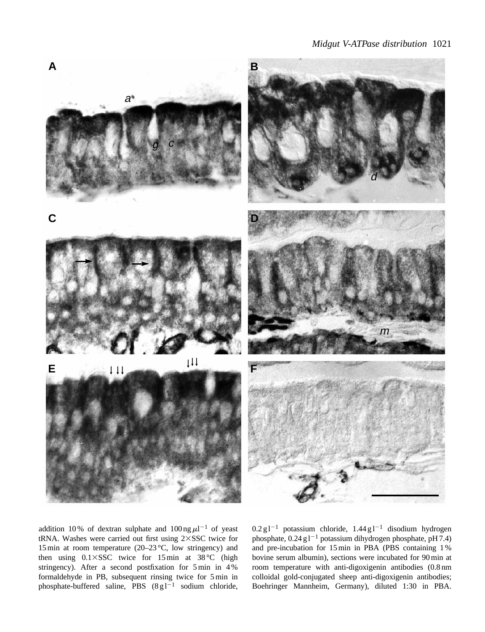

addition 10% of dextran sulphate and  $100$  ng  $\mu$ l<sup>-1</sup> of yeast tRNA. Washes were carried out first using  $2 \times SSC$  twice for 15 min at room temperature (20–23 °C, low stringency) and then using  $0.1 \times SSC$  twice for 15 min at 38 °C (high stringency). After a second postfixation for 5 min in 4 % formaldehyde in PB, subsequent rinsing twice for 5 min in phosphate-buffered saline, PBS  $(8g1^{-1}$  sodium chloride,  $0.2 \text{ g l}^{-1}$  potassium chloride,  $1.44 \text{ g l}^{-1}$  disodium hydrogen phosphate,  $0.24$  g l<sup>-1</sup> potassium dihydrogen phosphate, pH 7.4) and pre-incubation for 15 min in PBA (PBS containing 1 % bovine serum albumin), sections were incubated for 90 min at room temperature with anti-digoxigenin antibodies (0.8 nm colloidal gold-conjugated sheep anti-digoxigenin antibodies; Boehringer Mannheim, Germany), diluted 1:30 in PBA.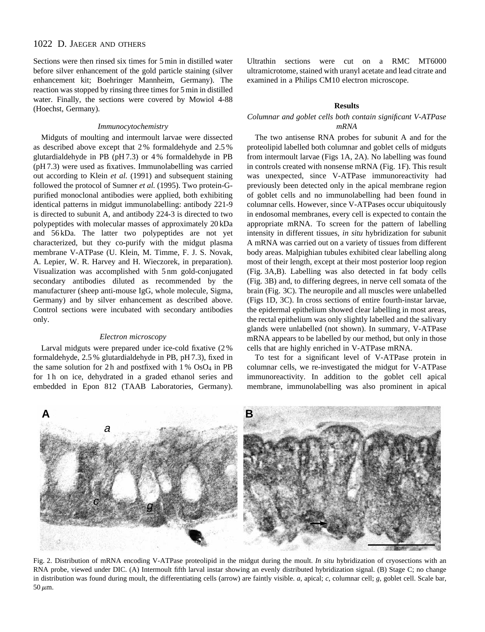# 1022 D. JAEGER AND OTHERS

Sections were then rinsed six times for 5 min in distilled water before silver enhancement of the gold particle staining (silver enhancement kit; Boehringer Mannheim, Germany). The reaction was stopped by rinsing three times for 5 min in distilled water. Finally, the sections were covered by Mowiol 4-88 (Hoechst, Germany).

#### *Immunocytochemistry*

Midguts of moulting and intermoult larvae were dissected as described above except that 2 % formaldehyde and 2.5 % glutardialdehyde in PB (pH 7.3) or 4 % formaldehyde in PB (pH 7.3) were used as fixatives. Immunolabelling was carried out according to Klein *et al.* (1991) and subsequent staining followed the protocol of Sumner *et al.* (1995). Two protein-Gpurified monoclonal antibodies were applied, both exhibiting identical patterns in midgut immunolabelling: antibody 221-9 is directed to subunit A, and antibody 224-3 is directed to two polypeptides with molecular masses of approximately 20 kDa and 56 kDa. The latter two polypeptides are not yet characterized, but they co-purify with the midgut plasma membrane V-ATPase (U. Klein, M. Timme, F. J. S. Novak, A. Lepier, W. R. Harvey and H. Wieczorek, in preparation). Visualization was accomplished with 5 nm gold-conjugated secondary antibodies diluted as recommended by the manufacturer (sheep anti-mouse IgG, whole molecule, Sigma, Germany) and by silver enhancement as described above. Control sections were incubated with secondary antibodies only.

#### *Electron microscopy*

Larval midguts were prepared under ice-cold fixative (2 % formaldehyde, 2.5 % glutardialdehyde in PB, pH 7.3), fixed in the same solution for 2h and postfixed with  $1\%$  OsO<sub>4</sub> in PB for 1 h on ice, dehydrated in a graded ethanol series and embedded in Epon 812 (TAAB Laboratories, Germany). Ultrathin sections were cut on a RMC MT6000 ultramicrotome, stained with uranyl acetate and lead citrate and examined in a Philips CM10 electron microscope.

#### **Results**

### *Columnar and goblet cells both contain significant V-ATPase mRNA*

The two antisense RNA probes for subunit A and for the proteolipid labelled both columnar and goblet cells of midguts from intermoult larvae (Figs 1A, 2A). No labelling was found in controls created with nonsense mRNA (Fig. 1F). This result was unexpected, since V-ATPase immunoreactivity had previously been detected only in the apical membrane region of goblet cells and no immunolabelling had been found in columnar cells. However, since V-ATPases occur ubiquitously in endosomal membranes, every cell is expected to contain the appropriate mRNA. To screen for the pattern of labelling intensity in different tissues, *in situ* hybridization for subunit A mRNA was carried out on a variety of tissues from different body areas. Malpighian tubules exhibited clear labelling along most of their length, except at their most posterior loop region (Fig. 3A,B). Labelling was also detected in fat body cells (Fig. 3B) and, to differing degrees, in nerve cell somata of the brain (Fig. 3C). The neuropile and all muscles were unlabelled (Figs 1D, 3C). In cross sections of entire fourth-instar larvae, the epidermal epithelium showed clear labelling in most areas, the rectal epithelium was only slightly labelled and the salivary glands were unlabelled (not shown). In summary, V-ATPase mRNA appears to be labelled by our method, but only in those cells that are highly enriched in V-ATPase mRNA.

To test for a significant level of V-ATPase protein in columnar cells, we re-investigated the midgut for V-ATPase immunoreactivity. In addition to the goblet cell apical membrane, immunolabelling was also prominent in apical



Fig. 2. Distribution of mRNA encoding V-ATPase proteolipid in the midgut during the moult. *In situ* hybridization of cryosections with an RNA probe, viewed under DIC. (A) Intermoult fifth larval instar showing an evenly distributed hybridization signal. (B) Stage C; no change in distribution was found during moult, the differentiating cells (arrow) are faintly visible. *a*, apical; *c*, columnar cell; *g*, goblet cell. Scale bar,  $50 \mu m$ .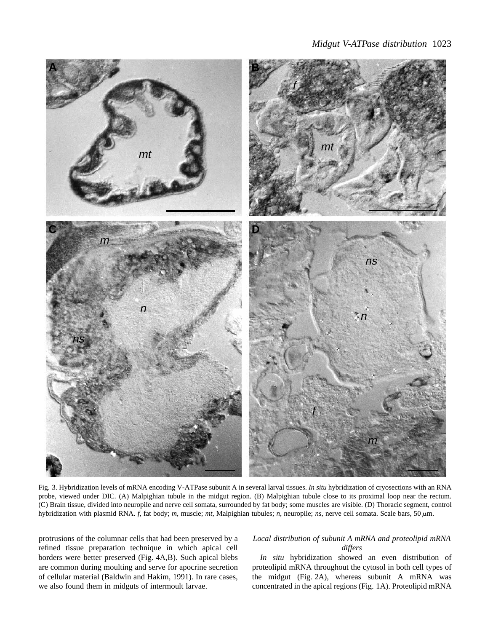

Fig. 3. Hybridization levels of mRNA encoding V-ATPase subunit A in several larval tissues. *In situ* hybridization of cryosections with an RNA probe, viewed under DIC. (A) Malpighian tubule in the midgut region. (B) Malpighian tubule close to its proximal loop near the rectum. (C) Brain tissue, divided into neuropile and nerve cell somata, surrounded by fat body; some muscles are visible. (D) Thoracic segment, control hybridization with plasmid RNA.  $f$ , fat body;  $m$ , muscle;  $mt$ , Malpighian tubules;  $n$ , neuropile;  $ns$ , nerve cell somata. Scale bars, 50 $\mu$ m.

protrusions of the columnar cells that had been preserved by a refined tissue preparation technique in which apical cell borders were better preserved (Fig. 4A,B). Such apical blebs are common during moulting and serve for apocrine secretion of cellular material (Baldwin and Hakim, 1991). In rare cases, we also found them in midguts of intermoult larvae.

### *Local distribution of subunit A mRNA and proteolipid mRNA differs*

*In situ* hybridization showed an even distribution of proteolipid mRNA throughout the cytosol in both cell types of the midgut (Fig. 2A), whereas subunit A mRNA was concentrated in the apical regions (Fig. 1A). Proteolipid mRNA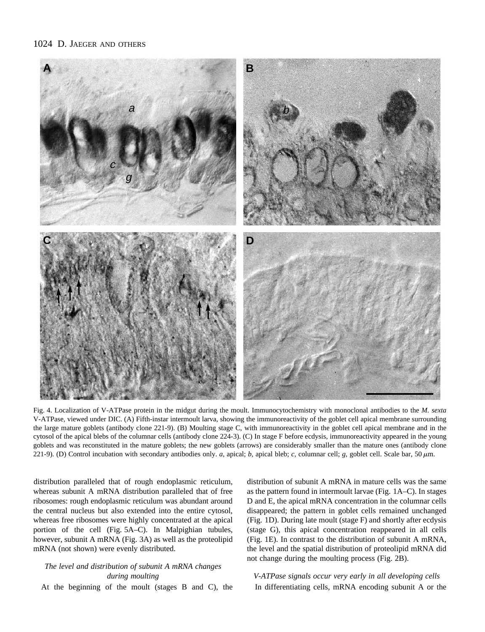# 1024 D. JAEGER AND OTHERS



Fig. 4. Localization of V-ATPase protein in the midgut during the moult. Immunocytochemistry with monoclonal antibodies to the *M. sexta* V-ATPase, viewed under DIC. (A) Fifth-instar intermoult larva, showing the immunoreactivity of the goblet cell apical membrane surrounding the large mature goblets (antibody clone 221-9). (B) Moulting stage C, with immunoreactivity in the goblet cell apical membrane and in the cytosol of the apical blebs of the columnar cells (antibody clone 224-3). (C) In stage F before ecdysis, immunoreactivity appeared in the young goblets and was reconstituted in the mature goblets; the new goblets (arrows) are considerably smaller than the mature ones (antibody clone 221-9). (D) Control incubation with secondary antibodies only. *a*, apical; *b*, apical bleb; *c*, columnar cell; *g*, goblet cell. Scale bar, 50  $\mu$ m.

distribution paralleled that of rough endoplasmic reticulum, whereas subunit A mRNA distribution paralleled that of free ribosomes: rough endoplasmic reticulum was abundant around the central nucleus but also extended into the entire cytosol, whereas free ribosomes were highly concentrated at the apical portion of the cell (Fig. 5A–C). In Malpighian tubules, however, subunit A mRNA (Fig. 3A) as well as the proteolipid mRNA (not shown) were evenly distributed.

# *The level and distribution of subunit A mRNA changes during moulting*

At the beginning of the moult (stages B and C), the

distribution of subunit A mRNA in mature cells was the same as the pattern found in intermoult larvae (Fig. 1A–C). In stages D and E, the apical mRNA concentration in the columnar cells disappeared; the pattern in goblet cells remained unchanged (Fig. 1D). During late moult (stage F) and shortly after ecdysis (stage G), this apical concentration reappeared in all cells (Fig. 1E). In contrast to the distribution of subunit A mRNA, the level and the spatial distribution of proteolipid mRNA did not change during the moulting process (Fig. 2B).

*V-ATPase signals occur very early in all developing cells* In differentiating cells, mRNA encoding subunit A or the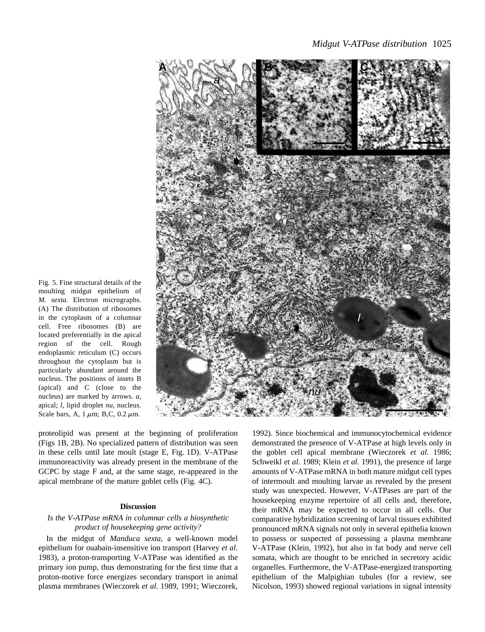

Fig. 5. Fine structural details of the moulting midgut epithelium of *M. sexta.* Electron micrographs. (A) The distribution of ribosomes in the cytoplasm of a columnar cell. Free ribosomes (B) are located preferentially in the apical region of the cell. Rough endoplasmic reticulum (C) occurs throughout the cytoplasm but is particularly abundant around the nucleus. The positions of insets B (apical) and C (close to the nucleus) are marked by arrows. *a*, apical; *l*, lipid droplet *nu*, nucleus. Scale bars, A,  $1 \mu m$ ; B,C, 0.2  $\mu m$ .

proteolipid was present at the beginning of proliferation (Figs 1B, 2B). No specialized pattern of distribution was seen in these cells until late moult (stage E, Fig. 1D). V-ATPase immunoreactivity was already present in the membrane of the GCPC by stage F and, at the same stage, re-appeared in the apical membrane of the mature goblet cells (Fig. 4C).

### **Discussion**

### *Is the V-ATPase mRNA in columnar cells a biosynthetic product of housekeeping gene activity?*

In the midgut of *Manduca sexta*, a well-known model epithelium for ouabain-insensitive ion transport (Harvey *et al.* 1983), a proton-transporting V-ATPase was identified as the primary ion pump, thus demonstrating for the first time that a proton-motive force energizes secondary transport in animal plasma membranes (Wieczorek *et al.* 1989, 1991; Wieczorek, 1992). Since biochemical and immunocytochemical evidence demonstrated the presence of V-ATPase at high levels only in the goblet cell apical membrane (Wieczorek *et al.* 1986; Schweikl *et al.* 1989; Klein *et al.* 1991), the presence of large amounts of V-ATPase mRNA in both mature midgut cell types of intermoult and moulting larvae as revealed by the present study was unexpected. However, V-ATPases are part of the housekeeping enzyme repertoire of all cells and, therefore, their mRNA may be expected to occur in all cells. Our comparative hybridization screening of larval tissues exhibited pronounced mRNA signals not only in several epithelia known to possess or suspected of possessing a plasma membrane V-ATPase (Klein, 1992), but also in fat body and nerve cell somata, which are thought to be enriched in secretory acidic organelles. Furthermore, the V-ATPase-energized transporting epithelium of the Malpighian tubules (for a review, see Nicolson, 1993) showed regional variations in signal intensity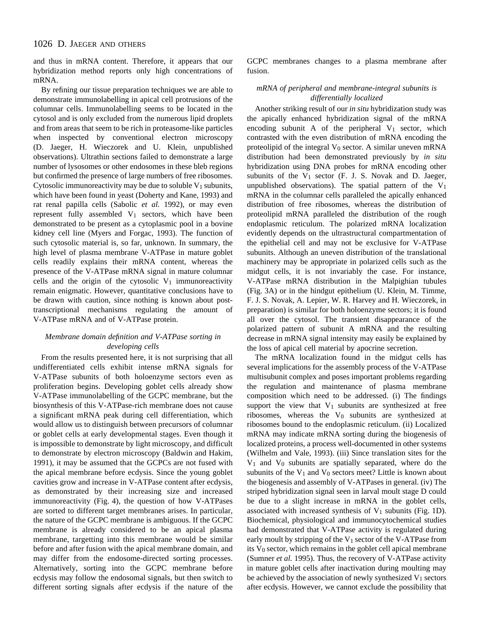and thus in mRNA content. Therefore, it appears that our hybridization method reports only high concentrations of mRNA.

By refining our tissue preparation techniques we are able to demonstrate immunolabelling in apical cell protrusions of the columnar cells. Immunolabelling seems to be located in the cytosol and is only excluded from the numerous lipid droplets and from areas that seem to be rich in proteasome-like particles when inspected by conventional electron microscopy (D. Jaeger, H. Wieczorek and U. Klein, unpublished observations). Ultrathin sections failed to demonstrate a large number of lysosomes or other endosomes in these bleb regions but confirmed the presence of large numbers of free ribosomes. Cytosolic immunoreactivity may be due to soluble  $V_1$  subunits, which have been found in yeast (Doherty and Kane, 1993) and rat renal papilla cells (Sabolic *et al.* 1992), or may even represent fully assembled  $V_1$  sectors, which have been demonstrated to be present as a cytoplasmic pool in a bovine kidney cell line (Myers and Forgac, 1993). The function of such cytosolic material is, so far, unknown. In summary, the high level of plasma membrane V-ATPase in mature goblet cells readily explains their mRNA content, whereas the presence of the V-ATPase mRNA signal in mature columnar cells and the origin of the cytosolic  $V_1$  immunoreactivity remain enigmatic. However, quantitative conclusions have to be drawn with caution, since nothing is known about posttranscriptional mechanisms regulating the amount of V-ATPase mRNA and of V-ATPase protein.

### *Membrane domain definition and V-ATPase sorting in developing cells*

From the results presented here, it is not surprising that all undifferentiated cells exhibit intense mRNA signals for V-ATPase subunits of both holoenzyme sectors even as proliferation begins. Developing goblet cells already show V-ATPase immunolabelling of the GCPC membrane, but the biosynthesis of this V-ATPase-rich membrane does not cause a significant mRNA peak during cell differentiation, which would allow us to distinguish between precursors of columnar or goblet cells at early developmental stages. Even though it is impossible to demonstrate by light microscopy, and difficult to demonstrate by electron microscopy (Baldwin and Hakim, 1991), it may be assumed that the GCPCs are not fused with the apical membrane before ecdysis. Since the young goblet cavities grow and increase in V-ATPase content after ecdysis, as demonstrated by their increasing size and increased immunoreactivity (Fig. 4), the question of how V-ATPases are sorted to different target membranes arises. In particular, the nature of the GCPC membrane is ambiguous. If the GCPC membrane is already considered to be an apical plasma membrane, targetting into this membrane would be similar before and after fusion with the apical membrane domain, and may differ from the endosome-directed sorting processes. Alternatively, sorting into the GCPC membrane before ecdysis may follow the endosomal signals, but then switch to different sorting signals after ecdysis if the nature of the

GCPC membranes changes to a plasma membrane after fusion.

### *mRNA of peripheral and membrane-integral subunits is differentially localized*

Another striking result of our *in situ* hybridization study was the apically enhanced hybridization signal of the mRNA encoding subunit A of the peripheral  $V_1$  sector, which contrasted with the even distribution of mRNA encoding the proteolipid of the integral  $V_0$  sector. A similar uneven mRNA distribution had been demonstrated previously by *in situ* hybridization using DNA probes for mRNA encoding other subunits of the  $V_1$  sector (F. J. S. Novak and D. Jaeger, unpublished observations). The spatial pattern of the  $V_1$ mRNA in the columnar cells paralleled the apically enhanced distribution of free ribosomes, whereas the distribution of proteolipid mRNA paralleled the distribution of the rough endoplasmic reticulum. The polarized mRNA localization evidently depends on the ultrastructural compartmentation of the epithelial cell and may not be exclusive for V-ATPase subunits. Although an uneven distribution of the translational machinery may be appropriate in polarized cells such as the midgut cells, it is not invariably the case. For instance, V-ATPase mRNA distribution in the Malpighian tubules (Fig. 3A) or in the hindgut epithelium (U. Klein, M. Timme, F. J. S. Novak, A. Lepier, W. R. Harvey and H. Wieczorek, in preparation) is similar for both holoenzyme sectors; it is found all over the cytosol. The transient disappearance of the polarized pattern of subunit A mRNA and the resulting decrease in mRNA signal intensity may easily be explained by the loss of apical cell material by apocrine secretion.

The mRNA localization found in the midgut cells has several implications for the assembly process of the V-ATPase multisubunit complex and poses important problems regarding the regulation and maintenance of plasma membrane composition which need to be addressed. (i) The findings support the view that  $V_1$  subunits are synthesized at free ribosomes, whereas the V<sub>0</sub> subunits are synthesized at ribosomes bound to the endoplasmic reticulum. (ii) Localized mRNA may indicate mRNA sorting during the biogenesis of localized proteins, a process well-documented in other systems (Wilhelm and Vale, 1993). (iii) Since translation sites for the  $V_1$  and  $V_0$  subunits are spatially separated, where do the subunits of the  $V_1$  and  $V_0$  sectors meet? Little is known about the biogenesis and assembly of V-ATPases in general. (iv) The striped hybridization signal seen in larval moult stage D could be due to a slight increase in mRNA in the goblet cells, associated with increased synthesis of  $V_1$  subunits (Fig. 1D). Biochemical, physiological and immunocytochemical studies had demonstrated that V-ATPase activity is regulated during early moult by stripping of the  $V_1$  sector of the V-ATPase from its V0 sector, which remains in the goblet cell apical membrane (Sumner *et al.* 1995). Thus, the recovery of V-ATPase activity in mature goblet cells after inactivation during moulting may be achieved by the association of newly synthesized  $V_1$  sectors after ecdysis. However, we cannot exclude the possibility that